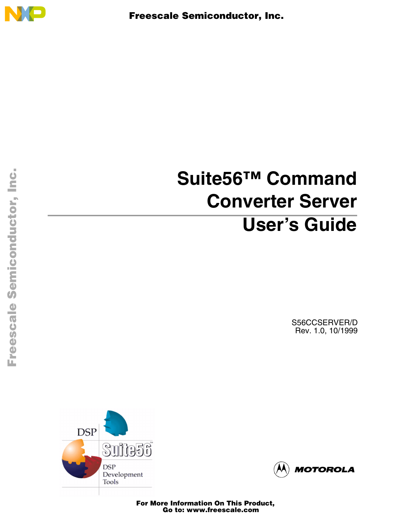

# **Suite56™ Command Converter Server User's Guide**

S56CCSERVER/D Rev. 1.0, 10/1999





For More Information On This Product, Go to: www.freescale.com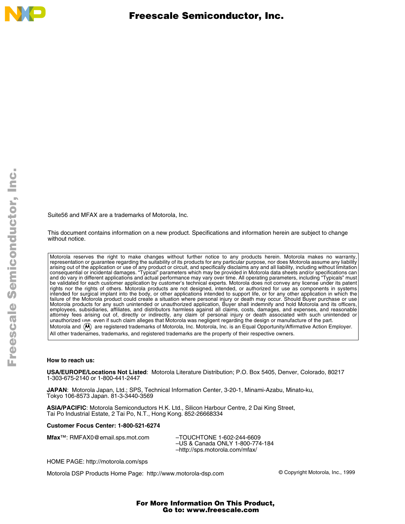

Suite56 and MFAX are a trademarks of Motorola, Inc.

This document contains information on a new product. Specifications and information herein are subject to change without notice.

Motorola reserves the right to make changes without further notice to any products herein. Motorola makes no warranty, representation or guarantee regarding the suitability of its products for any particular purpose, nor does Motorola assume any liability<br>arising out of the application or use of any product or circuit, and specifically dis consequential or incidental damages. "Typical" parameters which may be provided in Motorola data sheets and/or specifications can and do vary in different applications and actual performance may vary over time. All operating parameters, including "Typicals" must<br>be validated for each customer application by customer's technical experts. Motorola does rights nor the rights of others. Motorola products are not designed, intended, or authorized for use as components in systems intended for surgical implant into the body, or other applications intended to support life, or for any other application in which the<br>failure of the Motorola product could create a situation where personal injury or death Motorola products for any such unintended or unauthorized application, Buyer shall indemnify and hold Motorola and its officers, employees, subsidiaries, affiliates, and distributors harmless against all claims, costs, damages, and expenses, and reasonable<br>attorney fees arising out of, directly or indirectly, any claim of personal injury or death as unauthorized use, even if such claim alleges that Motorola was negligent regarding the design or manufacture of the part. Motorola and (A) are registered trademarks of Motorola, Inc. Motorola, Inc. is an Equal Opportunity/Affirmative Action Employer. All other tradenames, trademarks, and registered trademarks are the property of their respective owners.

#### **How to reach us:**

**USA/EUROPE/Locations Not Listed**: Motorola Literature Distribution; P.O. Box 5405, Denver, Colorado, 80217 1-303-675-2140 or 1-800-441-2447

**JAPAN**: Motorola Japan, Ltd.; SPS, Technical Information Center, 3-20-1, Minami-Azabu, Minato-ku, Tokyo 106-8573 Japan. 81-3-3440-3569

**ASIA/PACIFIC**: Motorola Semiconductors H.K. Ltd., Silicon Harbour Centre, 2 Dai King Street, Tai Po Industrial Estate, 2 Tai Po, N.T., Hong Kong. 852-26668334

**Customer Focus Center: 1-800-521-6274**

**Mfax**™: RMFAX0@email.sps.mot.com –TOUCHTONE 1-602-244-6609

–US & Canada ONLY 1-800-774-184 –http://sps.motorola.com/mfax/

HOME PAGE: http://motorola.com/sps

Motorola DSP Products Home Page: http://www.motorola-dsp.com © Copyright Motorola, Inc., 1999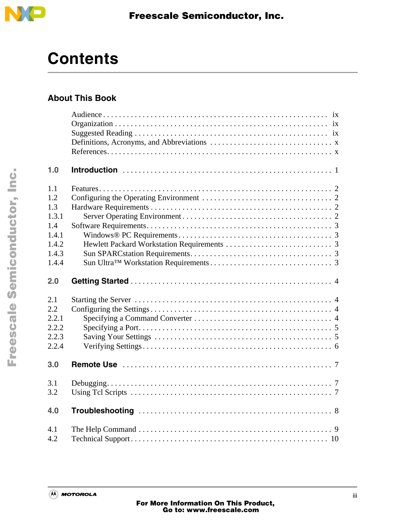

# **Contents**

#### **[About This Book](#page-8-0)**

| 1.0   |  |
|-------|--|
| 1.1   |  |
| 1.2   |  |
| 1.3   |  |
| 1.3.1 |  |
| 1.4   |  |
| 1.4.1 |  |
| 1.4.2 |  |
| 1.4.3 |  |
| 1.4.4 |  |
| 2.0   |  |
| 2.1   |  |
| 2.2   |  |
| 2.2.1 |  |
| 2.2.2 |  |
| 2.2.3 |  |
| 2.2.4 |  |
| 3.0   |  |
| 3.1   |  |
| 3.2   |  |
| 4.0   |  |
| 4.1   |  |
| 4.2   |  |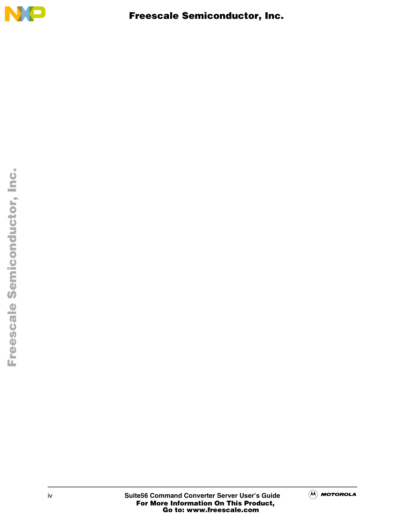

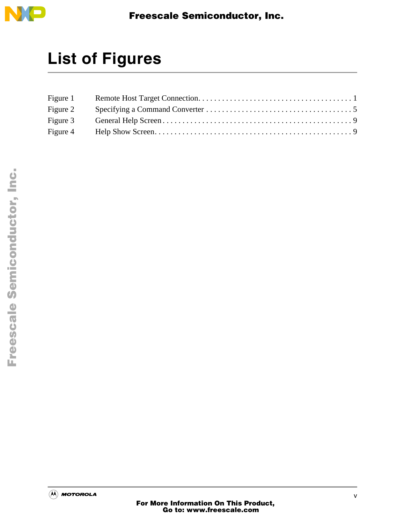

# **List of Figures**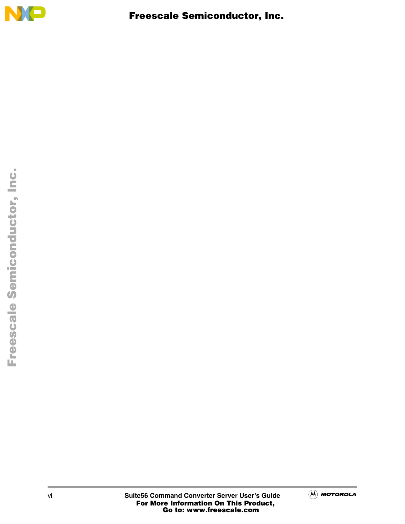

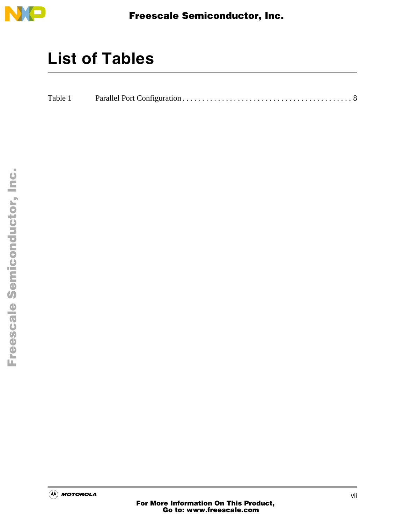

# **List of Tables**

| Table 1 |  |
|---------|--|
|         |  |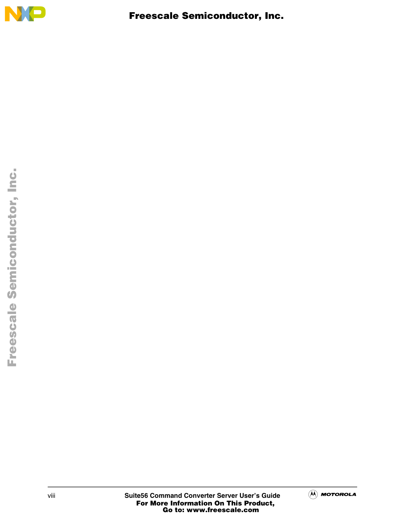

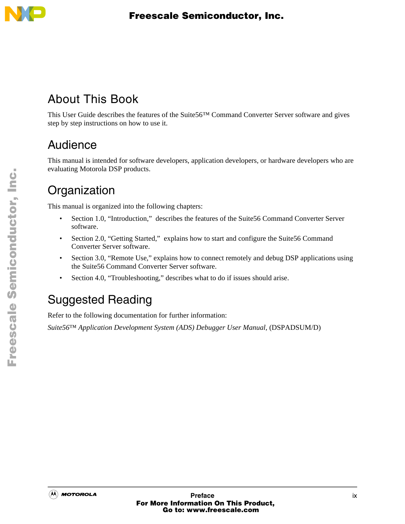

# <span id="page-8-0"></span>About This Book

This User Guide describes the features of the Suite56™ Command Converter Server software and gives step by step instructions on how to use it.

# <span id="page-8-1"></span>Audience

This manual is intended for software developers, application developers, or hardware developers who are evaluating Motorola DSP products.

# <span id="page-8-2"></span>**Organization**

This manual is organized into the following chapters:

- [Section 1.0, "Introduction,"](#page-10-2) describes the features of the Suite56 Command Converter Server software.
- [Section 2.0, "Getting Started,"](#page-13-4) explains how to start and configure the Suite56 Command Converter Server software.
- [Section 3.0, "Remote Use,"](#page-16-3) explains how to connect remotely and debug DSP applications using the Suite56 Command Converter Server software.
- [Section 4.0, "Troubleshooting," d](#page-17-2)escribes what to do if issues should arise.

# <span id="page-8-3"></span>Suggested Reading

Refer to the following documentation for further information:

*Suite56™ Application Development System (ADS) Debugger User Manual,* (DSPADSUM/D)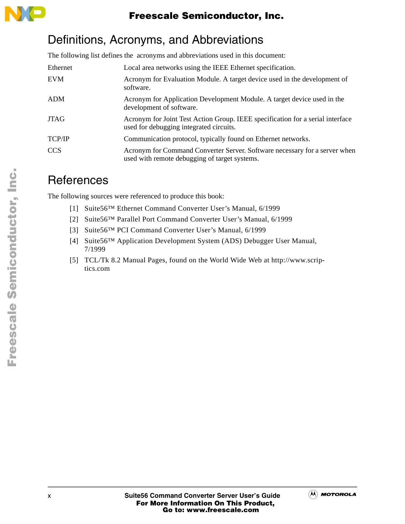

## <span id="page-9-0"></span>Definitions, Acronyms, and Abbreviations

The following list defines the acronyms and abbreviations used in this document:

| Ethernet   | Local area networks using the IEEE Ethernet specification.                                                                  |
|------------|-----------------------------------------------------------------------------------------------------------------------------|
| <b>EVM</b> | Acronym for Evaluation Module. A target device used in the development of<br>software.                                      |
| ADM        | Acronym for Application Development Module. A target device used in the<br>development of software.                         |
| JTAG       | Acronym for Joint Test Action Group. IEEE specification for a serial interface<br>used for debugging integrated circuits.   |
| TCP/IP     | Communication protocol, typically found on Ethernet networks.                                                               |
| <b>CCS</b> | Acronym for Command Converter Server. Software necessary for a server when<br>used with remote debugging of target systems. |

## <span id="page-9-1"></span>**References**

The following sources were referenced to produce this book:

- [1] Suite56™ Ethernet Command Converter User's Manual, 6/1999
- [2] Suite56™ Parallel Port Command Converter User's Manual, 6/1999
- [3] Suite56™ PCI Command Converter User's Manual, 6/1999
- [4] Suite56™ Application Development System (ADS) Debugger User Manual, 7/1999
- [5] TCL/Tk 8.2 Manual Pages, found on the World Wide Web at http://www.scriptics.com

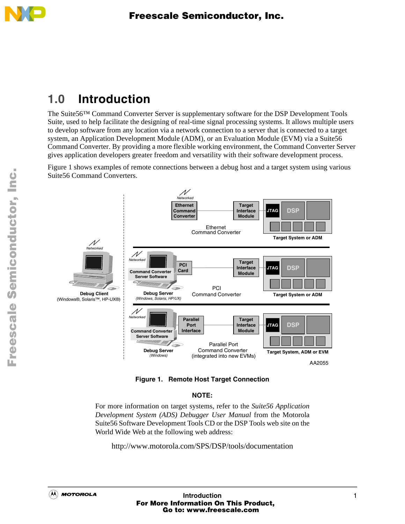

# <span id="page-10-2"></span><span id="page-10-0"></span>**1.0 Introduction**

The Suite56™ Command Converter Server is supplementary software for the DSP Development Tools Suite, used to help facilitate the designing of real-time signal processing systems. It allows multiple users to develop software from any location via a network connection to a server that is connected to a target system, an Application Development Module (ADM), or an Evaluation Module (EVM) via a Suite56 Command Converter. By providing a more flexible working environment, the Command Converter Server gives application developers greater freedom and versatility with their software development process.

[Figure 1](#page-10-1) shows examples of remote connections between a debug host and a target system using various Suite56 Command Converters.



**Figure 1. Remote Host Target Connection**

#### **NOTE:**

<span id="page-10-1"></span>For more information on target systems, refer to the *Suite56 Application Development System (ADS) Debugger User Manual* from the Motorola Suite56 Software Development Tools CD or the DSP Tools web site on the World Wide Web at the following web address:

http://www.motorola.com/SPS/DSP/tools/documentation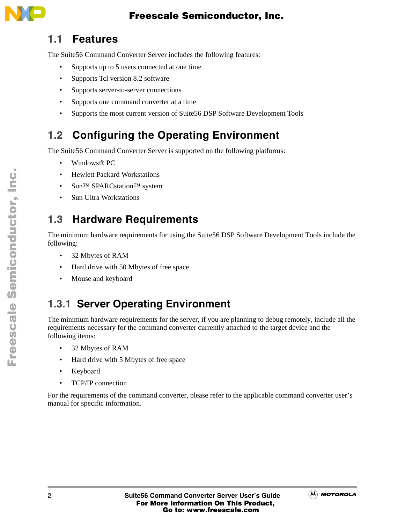

#### <span id="page-11-0"></span>**1.1 Features**

The Suite56 Command Converter Server includes the following features:

- Supports up to 5 users connected at one time
- Supports Tcl version 8.2 software
- Supports server-to-server connections
- Supports one command converter at a time
- Supports the most current version of Suite56 DSP Software Development Tools

## <span id="page-11-1"></span>**1.2 Configuring the Operating Environment**

The Suite56 Command Converter Server is supported on the following platforms:

- Windows® PC
- Hewlett Packard Workstations
- Sun™ SPARCstation<sup>™</sup> system
- Sun Ultra Workstations

### <span id="page-11-2"></span>**1.3 Hardware Requirements**

The minimum hardware requirements for using the Suite56 DSP Software Development Tools include the following:

- 32 Mbytes of RAM
- Hard drive with 50 Mbytes of free space
- Mouse and keyboard

### <span id="page-11-3"></span>**1.3.1 Server Operating Environment**

The minimum hardware requirements for the server, if you are planning to debug remotely, include all the requirements necessary for the command converter currently attached to the target device and the following items:

- 32 Mbytes of RAM
- Hard drive with 5 Mbytes of free space
- Keyboard
- TCP/IP connection

For the requirements of the command converter, please refer to the applicable command converter user's manual for specific information.

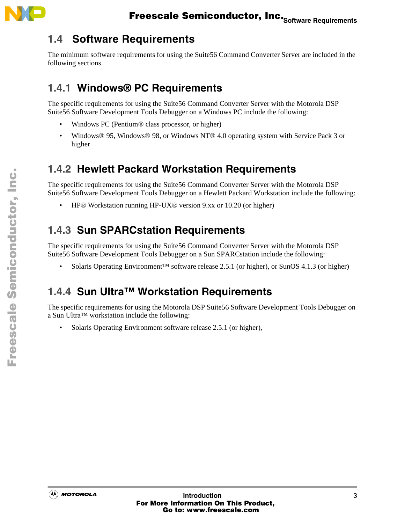

#### <span id="page-12-0"></span>**1.4 Software Requirements**

The minimum software requirements for using the Suite56 Command Converter Server are included in the following sections.

### <span id="page-12-1"></span>**1.4.1 Windows® PC Requirements**

The specific requirements for using the Suite56 Command Converter Server with the Motorola DSP Suite56 Software Development Tools Debugger on a Windows PC include the following:

- Windows PC (Pentium<sup>®</sup> class processor, or higher)
- Windows® 95, Windows® 98, or Windows NT® 4.0 operating system with Service Pack 3 or higher

#### <span id="page-12-2"></span>**1.4.2 Hewlett Packard Workstation Requirements**

The specific requirements for using the Suite56 Command Converter Server with the Motorola DSP Suite56 Software Development Tools Debugger on a Hewlett Packard Workstation include the following:

• HP® Workstation running HP-UX® version 9.xx or 10.20 (or higher)

### <span id="page-12-3"></span>**1.4.3 Sun SPARCstation Requirements**

The specific requirements for using the Suite56 Command Converter Server with the Motorola DSP Suite56 Software Development Tools Debugger on a Sun SPARCstation include the following:

• Solaris Operating Environment™ software release 2.5.1 (or higher), or SunOS 4.1.3 (or higher)

#### <span id="page-12-4"></span>**1.4.4 Sun Ultra™ Workstation Requirements**

The specific requirements for using the Motorola DSP Suite56 Software Development Tools Debugger on a Sun Ultra™ workstation include the following:

Solaris Operating Environment software release 2.5.1 (or higher),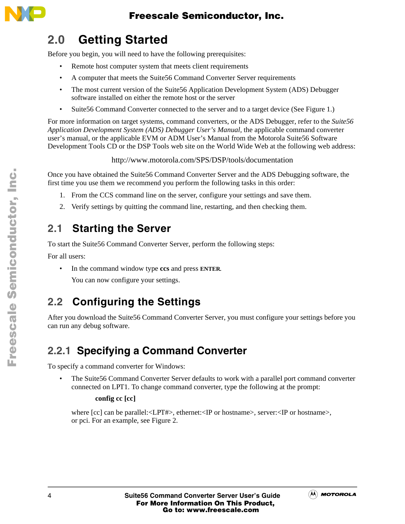

# <span id="page-13-4"></span><span id="page-13-0"></span>**2.0 Getting Started**

Before you begin, you will need to have the following prerequisites:

- Remote host computer system that meets client requirements
- A computer that meets the Suite56 Command Converter Server requirements
- The most current version of the Suite56 Application Development System (ADS) Debugger software installed on either the remote host or the server
- Suite56 Command Converter connected to the server and to a target device (See [Figure 1.](#page-10-1))

For more information on target systems, command converters, or the ADS Debugger, refer to the *Suite56 Application Development System (ADS) Debugger User's Manual,* the applicable command converter user's manual, or the applicable EVM or ADM User's Manual from the Motorola Suite56 Software Development Tools CD or the DSP Tools web site on the World Wide Web at the following web address:

http://www.motorola.com/SPS/DSP/tools/documentation

Once you have obtained the Suite56 Command Converter Server and the ADS Debugging software, the first time you use them we recommend you perform the following tasks in this order:

- 1. From the CCS command line on the server, configure your settings and save them.
- 2. Verify settings by quitting the command line, restarting, and then checking them.

### <span id="page-13-1"></span>**2.1 Starting the Server**

To start the Suite56 Command Converter Server, perform the following steps:

For all users:

• In the command window type **ccs** and press **ENTER**. You can now configure your settings.

### <span id="page-13-2"></span>**2.2 Configuring the Settings**

After you download the Suite56 Command Converter Server, you must configure your settings before you can run any debug software.

### <span id="page-13-3"></span>**2.2.1 Specifying a Command Converter**

To specify a command converter for Windows:

• The Suite56 Command Converter Server defaults to work with a parallel port command converter connected on LPT1. To change command converter, type the following at the prompt:

#### **config cc [cc]**

where [cc] can be parallel: <LPT#>, ethernet: <IP or hostname>, server: <IP or hostname>, or pci. For an example, see [Figure 2](#page-14-2).

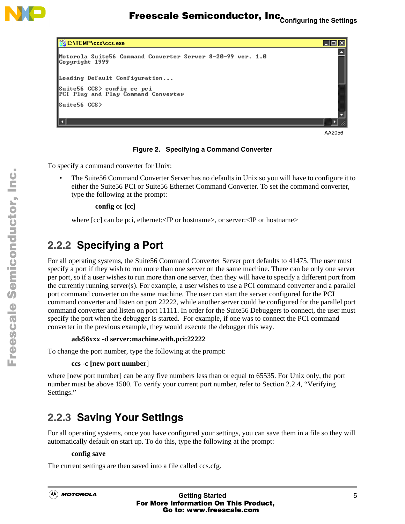



**Figure 2. Specifying a Command Converter**

<span id="page-14-2"></span>To specify a command converter for Unix:

• The Suite56 Command Converter Server has no defaults in Unix so you will have to configure it to either the Suite56 PCI or Suite56 Ethernet Command Converter. To set the command converter, type the following at the prompt:

**config cc [cc]**

where  $[cc]$  can be pci, ethernet:<IP or hostname>, or server:<IP or hostname>

### <span id="page-14-0"></span>**2.2.2 Specifying a Port**

For all operating systems, the Suite56 Command Converter Server port defaults to 41475. The user must specify a port if they wish to run more than one server on the same machine. There can be only one server per port, so if a user wishes to run more than one server, then they will have to specify a different port from the currently running server(s). For example, a user wishes to use a PCI command converter and a parallel port command converter on the same machine. The user can start the server configured for the PCI command converter and listen on port 22222, while another server could be configured for the parallel port command converter and listen on port 11111. In order for the Suite56 Debuggers to connect, the user must specify the port when the debugger is started. For example, if one was to connect the PCI command converter in the previous example, they would execute the debugger this way.

**ads56xxx -d server:machine.with.pci:22222**

To change the port number, type the following at the prompt:

#### **ccs -c [new port number**]

where [new port number] can be any five numbers less than or equal to 65535. For Unix only, the port number must be above 1500. To verify your current port number, refer to [Section 2.2.4, "Verifying](#page-15-0)  [Settings."](#page-15-0)

### <span id="page-14-1"></span>**2.2.3 Saving Your Settings**

For all operating systems, once you have configured your settings, you can save them in a file so they will automatically default on start up. To do this, type the following at the prompt:

#### **config save**

The current settings are then saved into a file called ccs.cfg.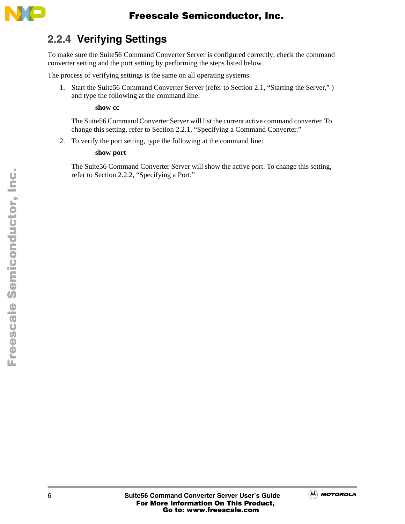

### <span id="page-15-0"></span>**2.2.4 Verifying Settings**

To make sure the Suite56 Command Converter Server is configured correctly, check the command converter setting and the port setting by performing the steps listed below.

The process of verifying settings is the same on all operating systems.

1. Start the Suite56 Command Converter Server (refer to [Section 2.1, "Starting the Server,"](#page-13-1) ) and type the following at the command line:

**show cc**

The Suite56 Command Converter Server will list the current active command converter. To change this setting, refer to [Section 2.2.1, "Specifying a Command Converter."](#page-13-3)

2. To verify the port setting, type the following at the command line:

#### **show port**

The Suite56 Command Converter Server will show the active port. To change this setting, refer to [Section 2.2.2, "Specifying a Port."](#page-14-0)

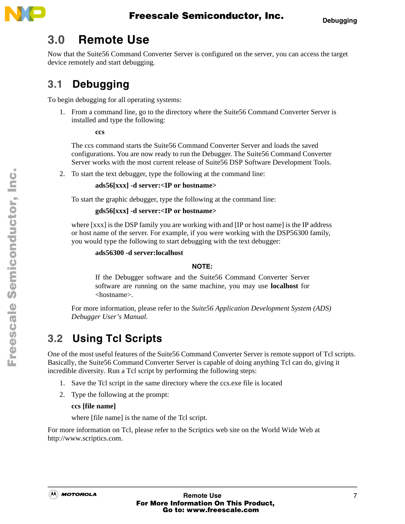**Debugging**



### <span id="page-16-3"></span><span id="page-16-0"></span>**3.0 Remote Use**

Now that the Suite56 Command Converter Server is configured on the server, you can access the target device remotely and start debugging.

### <span id="page-16-1"></span>**3.1 Debugging**

To begin debugging for all operating systems:

1. From a command line, go to the directory where the Suite56 Command Converter Server is installed and type the following:

**ccs**

The ccs command starts the Suite56 Command Converter Server and loads the saved configurations. You are now ready to run the Debugger. The Suite56 Command Converter Server works with the most current release of Suite56 DSP Software Development Tools.

2. To start the text debugger, type the following at the command line:

**ads56[xxx] -d server:<IP or hostname>**

To start the graphic debugger, type the following at the command line:

```
gds56[xxx] -d server:<IP or hostname>
```
where [xxx] is the DSP family you are working with and [IP or host name] is the IP address or host name of the server. For example, if you were working with the DSP56300 family, you would type the following to start debugging with the text debugger:

#### **ads56300 -d server:localhost**

#### **NOTE:**

If the Debugger software and the Suite56 Command Converter Server software are running on the same machine, you may use **localhost** for <hostname>.

For more information, please refer to the *Suite56 Application Development System (ADS) Debugger User's Manual.*

### <span id="page-16-2"></span>**3.2 Using Tcl Scripts**

One of the most useful features of the Suite56 Command Converter Server is remote support of Tcl scripts. Basically, the Suite56 Command Converter Server is capable of doing anything Tcl can do, giving it incredible diversity. Run a Tcl script by performing the following steps:

- 1. Save the Tcl script in the same directory where the ccs.exe file is located
- 2. Type the following at the prompt:

#### **ccs [file name]**

where [file name] is the name of the Tcl script.

For more information on Tcl, please refer to the Scriptics web site on the World Wide Web at http://www.scriptics.com.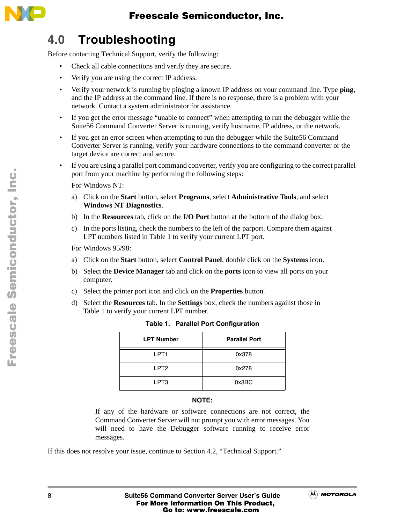

### <span id="page-17-2"></span><span id="page-17-0"></span>**4.0 Troubleshooting**

Before contacting Technical Support, verify the following:

- Check all cable connections and verify they are secure.
- Verify you are using the correct IP address.
- Verify your network is running by pinging a known IP address on your command line. Type **ping**, and the IP address at the command line. If there is no response, there is a problem with your network. Contact a system administrator for assistance.
- If you get the error message "unable to connect" when attempting to run the debugger while the Suite56 Command Converter Server is running, verify hostname, IP address, or the network.
- If you get an error screen when attempting to run the debugger while the Suite56 Command Converter Server is running, verify your hardware connections to the command converter or the target device are correct and secure.
- If you are using a parallel port command converter, verify you are configuring to the correct parallel port from your machine by performing the following steps:

For Windows NT:

- a) Click on the **Start** button, select **Programs**, select **Administrative Tools**, and select **Windows NT Diagnostics**.
- b) In the **Resources** tab, click on the **I/O Port** button at the bottom of the dialog box.
- c) In the ports listing, check the numbers to the left of the parport. Compare them against LPT numbers listed in [Table 1](#page-17-1) to verify your current LPT port.

For Windows 95/98:

- a) Click on the **Start** button, select **Control Panel**, double click on the **Systems** icon.
- b) Select the **Device Manager** tab and click on the **ports** icon to view all ports on your computer.
- c) Select the printer port icon and click on the **Properties** button.
- <span id="page-17-1"></span>d) Select the **Resources** tab. In the **Settings** box, check the numbers against those in [Table 1](#page-17-1) to verify your current LPT number.

| <b>LPT Number</b> | <b>Parallel Port</b> |
|-------------------|----------------------|
| LPT <sub>1</sub>  | 0x378                |
| LPT <sub>2</sub>  | 0x278                |
| LPT <sub>3</sub>  | 0x3BC                |

#### **Table 1. Parallel Port Configuration**

#### **NOTE:**

If any of the hardware or software connections are not correct, the Command Converter Server will not prompt you with error messages. You will need to have the Debugger software running to receive error messages.

If this does not resolve your issue, continue to [Section 4.2, "Technical Support."](#page-19-0)

 $\bf \Phi$ 

mic

o n d u  $\mathbf 0$ t o

r, I

n

.<br>ق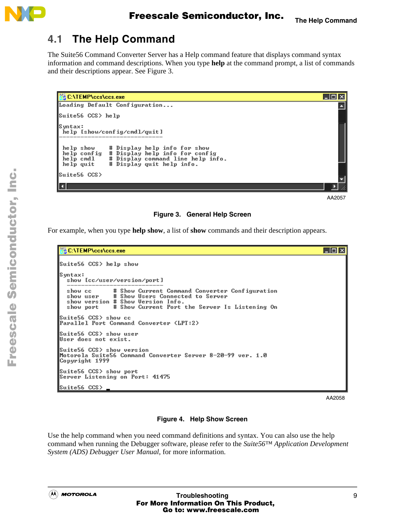

**The Help Command**

 $\Box \Box$ 

A

#### <span id="page-18-0"></span>**4.1 The Help Command**

The Suite56 Command Converter Server has a Help command feature that displays command syntax information and command descriptions. When you type **help** at the command prompt, a list of commands and their descriptions appear. See [Figure 3.](#page-18-1)

```
S C: \TEMP\ccs\ccs.exe
Loading Default Configuration...
Suite56 CCS> help
Syntax:
help [show/config/cmdl/quit]
                # Display help info for show<br># Display help info for config
help show
 help config
 help cmdl
                # Display command line help info.
                # Display quit help info.
 help quit
Suite56 CCS>
```
AA2057

#### **Figure 3. General Help Screen**

<span id="page-18-1"></span>For example, when you type **help show**, a list of **show** commands and their description appears.

```
\Boxo\boxtimes<u> 冬</u> C:\TEMP\ccs\ccs.exe
Suite56 CCS> help show
Syntax:
  show [cc/user/version/port]
                 # Show Current Command Converter Configuration
  show cc
                 # Show Users Connected to Server
  show user
  show version # Show Version Info.
                 # Show Current Port the Server Is Listening On
  show port
Suite56 CCS> show cc
Parallel Port Command Converter (LPT:2)
Suite56 CCS> show user
User does not exist.
Suite56 CCS> show version<br>Motorola Suite56 Command Converter Server 8-20-99 ver. 1.0<br>Converted 1999
Copyright 1999
Suite56 CCS> show port
Server Listening on Port: 41475
Suite56 CCS>
```
AA2058

#### **Figure 4. Help Show Screen**

<span id="page-18-2"></span>Use the help command when you need command definitions and syntax. You can also use the help command when running the Debugger software, please refer to the *Suite56™ Application Development System (ADS) Debugger User Manual*, for more information.